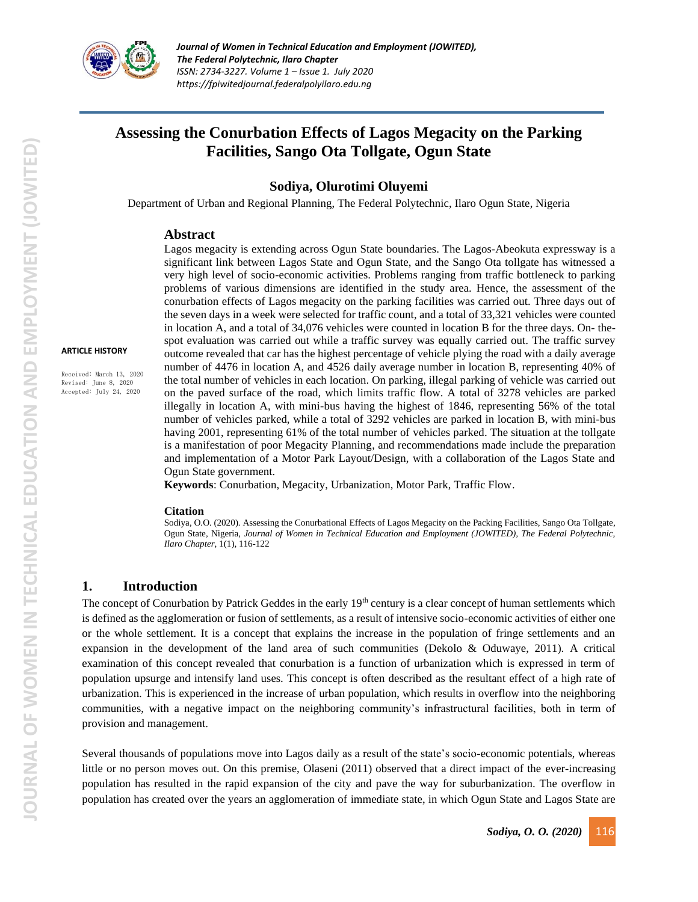

# **Assessing the Conurbation Effects of Lagos Megacity on the Parking Facilities, Sango Ota Tollgate, Ogun State**

### **Sodiya, Olurotimi Oluyemi**

Department of Urban and Regional Planning, The Federal Polytechnic, Ilaro Ogun State, Nigeria

#### **Abstract**

#### **ARTICLE HISTORY**

Received: March 13, 2020 Revised: June 8, 2020 Accepted: July 24, 2020

Lagos megacity is extending across Ogun State boundaries. The Lagos-Abeokuta expressway is a significant link between Lagos State and Ogun State, and the Sango Ota tollgate has witnessed a very high level of socio-economic activities. Problems ranging from traffic bottleneck to parking problems of various dimensions are identified in the study area. Hence, the assessment of the conurbation effects of Lagos megacity on the parking facilities was carried out. Three days out of the seven days in a week were selected for traffic count, and a total of 33,321 vehicles were counted in location A, and a total of 34,076 vehicles were counted in location B for the three days. On- thespot evaluation was carried out while a traffic survey was equally carried out. The traffic survey outcome revealed that car has the highest percentage of vehicle plying the road with a daily average number of 4476 in location A, and 4526 daily average number in location B, representing 40% of the total number of vehicles in each location. On parking, illegal parking of vehicle was carried out on the paved surface of the road, which limits traffic flow. A total of 3278 vehicles are parked illegally in location A, with mini-bus having the highest of 1846, representing 56% of the total number of vehicles parked, while a total of 3292 vehicles are parked in location B, with mini-bus having 2001, representing 61% of the total number of vehicles parked. The situation at the tollgate is a manifestation of poor Megacity Planning, and recommendations made include the preparation and implementation of a Motor Park Layout/Design, with a collaboration of the Lagos State and Ogun State government.

**Keywords**: Conurbation, Megacity, Urbanization, Motor Park, Traffic Flow.

#### **Citation**

Sodiya, O.O. (2020). Assessing the Conurbational Effects of Lagos Megacity on the Packing Facilities, Sango Ota Tollgate, Ogun State, Nigeria, *Journal of Women in Technical Education and Employment (JOWITED), The Federal Polytechnic, Ilaro Chapter*, 1(1), 116-122

### **1. Introduction**

The concept of Conurbation by Patrick Geddes in the early  $19<sup>th</sup>$  century is a clear concept of human settlements which is defined as the agglomeration or fusion of settlements, as a result of intensive socio-economic activities of either one or the whole settlement. It is a concept that explains the increase in the population of fringe settlements and an expansion in the development of the land area of such communities (Dekolo & Oduwaye, 2011). A critical examination of this concept revealed that conurbation is a function of urbanization which is expressed in term of population upsurge and intensify land uses. This concept is often described as the resultant effect of a high rate of urbanization. This is experienced in the increase of urban population, which results in overflow into the neighboring communities, with a negative impact on the neighboring community's infrastructural facilities, both in term of provision and management.

Several thousands of populations move into Lagos daily as a result of the state's socio-economic potentials, whereas little or no person moves out. On this premise, Olaseni (2011) observed that a direct impact of the ever-increasing population has resulted in the rapid expansion of the city and pave the way for suburbanization. The overflow in population has created over the years an agglomeration of immediate state, in which Ogun State and Lagos State are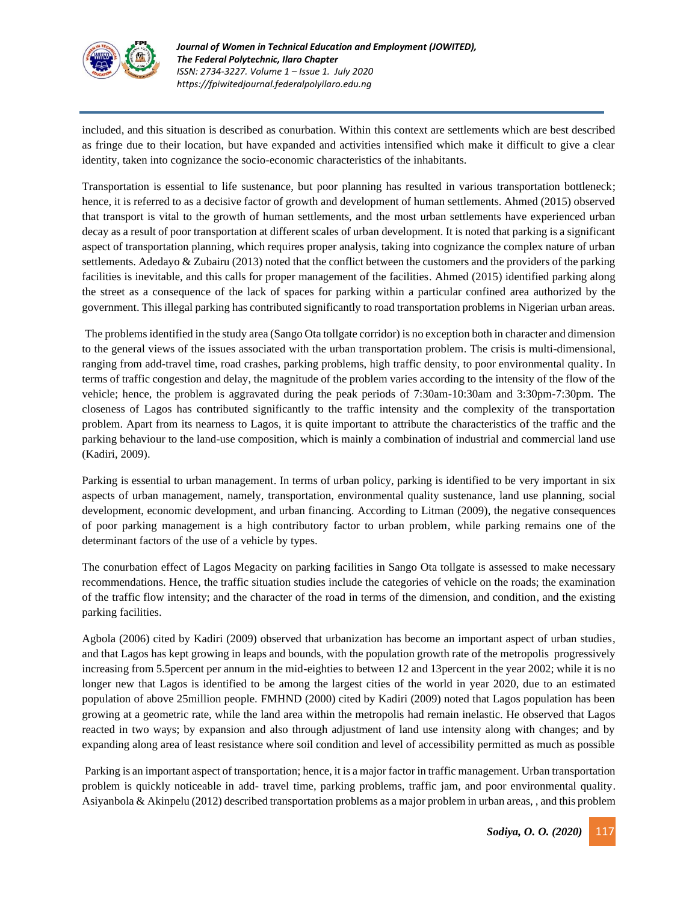

included, and this situation is described as conurbation. Within this context are settlements which are best described as fringe due to their location, but have expanded and activities intensified which make it difficult to give a clear identity, taken into cognizance the socio-economic characteristics of the inhabitants.

Transportation is essential to life sustenance, but poor planning has resulted in various transportation bottleneck; hence, it is referred to as a decisive factor of growth and development of human settlements. Ahmed (2015) observed that transport is vital to the growth of human settlements, and the most urban settlements have experienced urban decay as a result of poor transportation at different scales of urban development. It is noted that parking is a significant aspect of transportation planning, which requires proper analysis, taking into cognizance the complex nature of urban settlements. Adedayo & Zubairu (2013) noted that the conflict between the customers and the providers of the parking facilities is inevitable, and this calls for proper management of the facilities. Ahmed (2015) identified parking along the street as a consequence of the lack of spaces for parking within a particular confined area authorized by the government. This illegal parking has contributed significantly to road transportation problems in Nigerian urban areas.

The problems identified in the study area (Sango Ota tollgate corridor) is no exception both in character and dimension to the general views of the issues associated with the urban transportation problem. The crisis is multi-dimensional, ranging from add-travel time, road crashes, parking problems, high traffic density, to poor environmental quality. In terms of traffic congestion and delay, the magnitude of the problem varies according to the intensity of the flow of the vehicle; hence, the problem is aggravated during the peak periods of 7:30am-10:30am and 3:30pm-7:30pm. The closeness of Lagos has contributed significantly to the traffic intensity and the complexity of the transportation problem. Apart from its nearness to Lagos, it is quite important to attribute the characteristics of the traffic and the parking behaviour to the land-use composition, which is mainly a combination of industrial and commercial land use (Kadiri, 2009).

Parking is essential to urban management. In terms of urban policy, parking is identified to be very important in six aspects of urban management, namely, transportation, environmental quality sustenance, land use planning, social development, economic development, and urban financing. According to Litman (2009), the negative consequences of poor parking management is a high contributory factor to urban problem, while parking remains one of the determinant factors of the use of a vehicle by types.

The conurbation effect of Lagos Megacity on parking facilities in Sango Ota tollgate is assessed to make necessary recommendations. Hence, the traffic situation studies include the categories of vehicle on the roads; the examination of the traffic flow intensity; and the character of the road in terms of the dimension, and condition, and the existing parking facilities.

Agbola (2006) cited by Kadiri (2009) observed that urbanization has become an important aspect of urban studies, and that Lagos has kept growing in leaps and bounds, with the population growth rate of the metropolis progressively increasing from 5.5percent per annum in the mid-eighties to between 12 and 13percent in the year 2002; while it is no longer new that Lagos is identified to be among the largest cities of the world in year 2020, due to an estimated population of above 25million people. FMHND (2000) cited by Kadiri (2009) noted that Lagos population has been growing at a geometric rate, while the land area within the metropolis had remain inelastic. He observed that Lagos reacted in two ways; by expansion and also through adjustment of land use intensity along with changes; and by expanding along area of least resistance where soil condition and level of accessibility permitted as much as possible

Parking is an important aspect of transportation; hence, it is a major factor in traffic management. Urban transportation problem is quickly noticeable in add- travel time, parking problems, traffic jam, and poor environmental quality. Asiyanbola & Akinpelu (2012) described transportation problems as a major problem in urban areas, , and this problem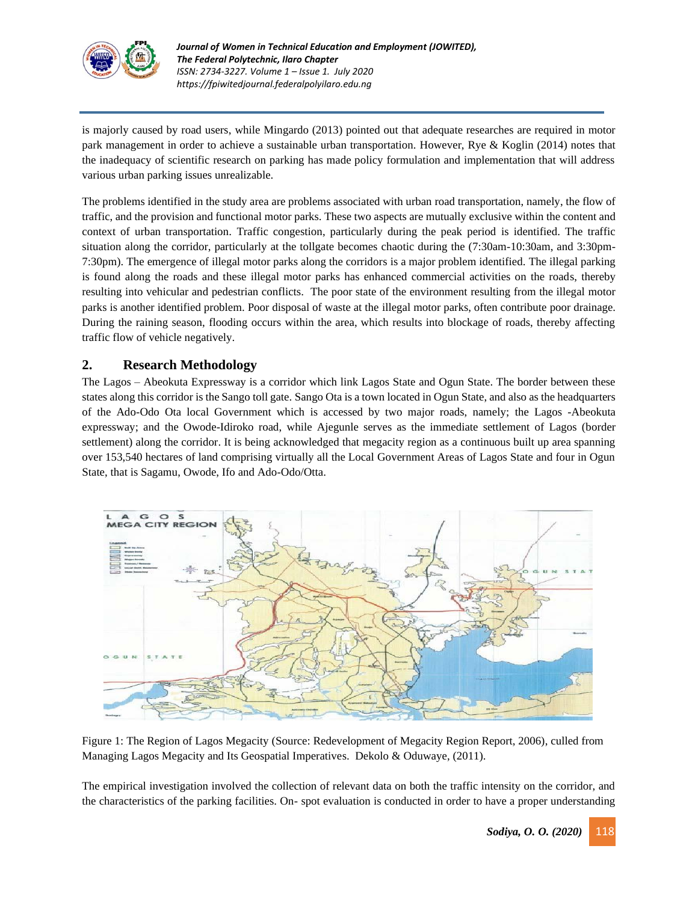

is majorly caused by road users, while Mingardo (2013) pointed out that adequate researches are required in motor park management in order to achieve a sustainable urban transportation. However, Rye & Koglin (2014) notes that the inadequacy of scientific research on parking has made policy formulation and implementation that will address various urban parking issues unrealizable.

The problems identified in the study area are problems associated with urban road transportation, namely, the flow of traffic, and the provision and functional motor parks. These two aspects are mutually exclusive within the content and context of urban transportation. Traffic congestion, particularly during the peak period is identified. The traffic situation along the corridor, particularly at the tollgate becomes chaotic during the (7:30am-10:30am, and 3:30pm-7:30pm). The emergence of illegal motor parks along the corridors is a major problem identified. The illegal parking is found along the roads and these illegal motor parks has enhanced commercial activities on the roads, thereby resulting into vehicular and pedestrian conflicts. The poor state of the environment resulting from the illegal motor parks is another identified problem. Poor disposal of waste at the illegal motor parks, often contribute poor drainage. During the raining season, flooding occurs within the area, which results into blockage of roads, thereby affecting traffic flow of vehicle negatively.

# **2. Research Methodology**

The Lagos – Abeokuta Expressway is a corridor which link Lagos State and Ogun State. The border between these states along this corridor is the Sango toll gate. Sango Ota is a town located in Ogun State, and also as the headquarters of the Ado-Odo Ota local Government which is accessed by two major roads, namely; the Lagos -Abeokuta expressway; and the Owode-Idiroko road, while Ajegunle serves as the immediate settlement of Lagos (border settlement) along the corridor. It is being acknowledged that megacity region as a continuous built up area spanning over 153,540 hectares of land comprising virtually all the Local Government Areas of Lagos State and four in Ogun State, that is Sagamu, Owode, Ifo and Ado-Odo/Otta.



Figure 1: The Region of Lagos Megacity (Source: Redevelopment of Megacity Region Report, 2006), culled from Managing Lagos Megacity and Its Geospatial Imperatives. Dekolo & Oduwaye, (2011).

The empirical investigation involved the collection of relevant data on both the traffic intensity on the corridor, and the characteristics of the parking facilities. On- spot evaluation is conducted in order to have a proper understanding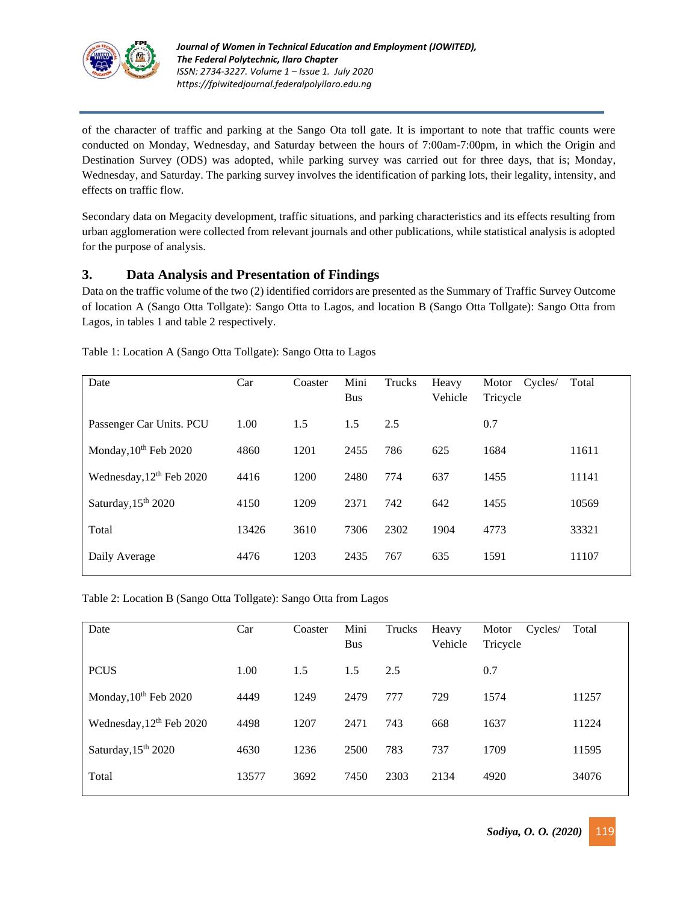

of the character of traffic and parking at the Sango Ota toll gate. It is important to note that traffic counts were conducted on Monday, Wednesday, and Saturday between the hours of 7:00am-7:00pm, in which the Origin and Destination Survey (ODS) was adopted, while parking survey was carried out for three days, that is; Monday, Wednesday, and Saturday. The parking survey involves the identification of parking lots, their legality, intensity, and effects on traffic flow.

Secondary data on Megacity development, traffic situations, and parking characteristics and its effects resulting from urban agglomeration were collected from relevant journals and other publications, while statistical analysis is adopted for the purpose of analysis.

# **3. Data Analysis and Presentation of Findings**

Data on the traffic volume of the two (2) identified corridors are presented as the Summary of Traffic Survey Outcome of location A (Sango Otta Tollgate): Sango Otta to Lagos, and location B (Sango Otta Tollgate): Sango Otta from Lagos, in tables 1 and table 2 respectively.

| Date                                 | Car   | Coaster | Mini<br><b>Bus</b> | Trucks | Heavy<br>Vehicle | Cycles/<br>Motor<br>Tricycle | Total |
|--------------------------------------|-------|---------|--------------------|--------|------------------|------------------------------|-------|
| Passenger Car Units. PCU             | 1.00  | 1.5     | 1.5                | 2.5    |                  | 0.7                          |       |
| Monday, 10 <sup>th</sup> Feb 2020    | 4860  | 1201    | 2455               | 786    | 625              | 1684                         | 11611 |
| Wednesday, 12 <sup>th</sup> Feb 2020 | 4416  | 1200    | 2480               | 774    | 637              | 1455                         | 11141 |
| Saturday, 15 <sup>th</sup> 2020      | 4150  | 1209    | 2371               | 742    | 642              | 1455                         | 10569 |
| Total                                | 13426 | 3610    | 7306               | 2302   | 1904             | 4773                         | 33321 |
| Daily Average                        | 4476  | 1203    | 2435               | 767    | 635              | 1591                         | 11107 |
|                                      |       |         |                    |        |                  |                              |       |

Table 1: Location A (Sango Otta Tollgate): Sango Otta to Lagos

Table 2: Location B (Sango Otta Tollgate): Sango Otta from Lagos

| Car   | Coaster | Mini<br><b>Bus</b> | Trucks | Heavy<br>Vehicle | Motor<br>Cycles/<br>Tricycle | Total |
|-------|---------|--------------------|--------|------------------|------------------------------|-------|
| 1.00  | 1.5     | 1.5                | 2.5    |                  | 0.7                          |       |
| 4449  | 1249    | 2479               | 777    | 729              | 1574                         | 11257 |
| 4498  | 1207    | 2471               | 743    | 668              | 1637                         | 11224 |
| 4630  | 1236    | 2500               | 783    | 737              | 1709                         | 11595 |
| 13577 | 3692    | 7450               | 2303   | 2134             | 4920                         | 34076 |
|       |         |                    |        |                  |                              |       |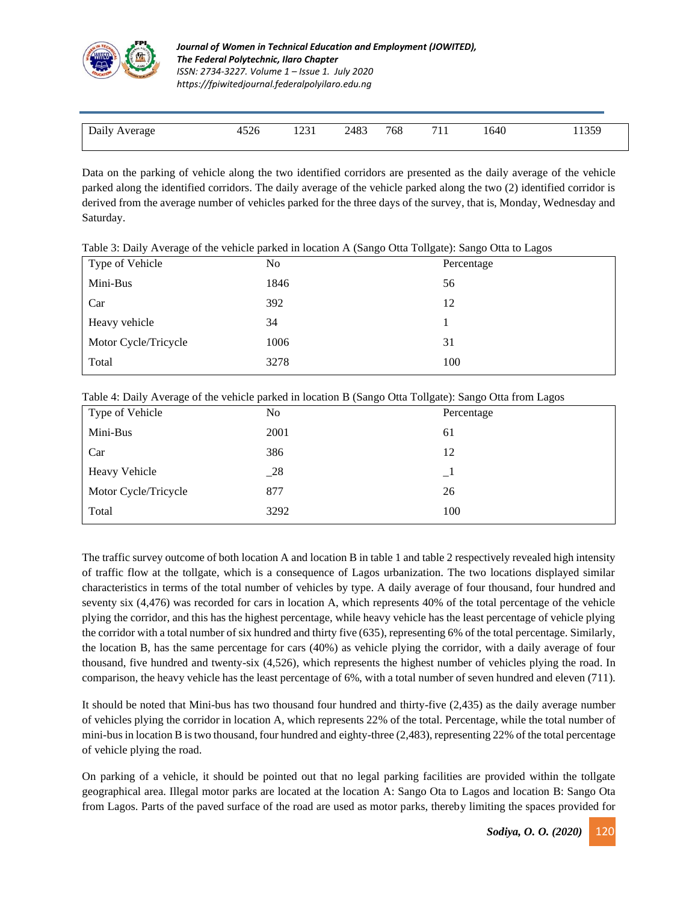

| Daily Average | 4526 | 1231 | 2483 | 768 | 1640 | 1359 |
|---------------|------|------|------|-----|------|------|
|               |      |      |      |     |      |      |

Data on the parking of vehicle along the two identified corridors are presented as the daily average of the vehicle parked along the identified corridors. The daily average of the vehicle parked along the two (2) identified corridor is derived from the average number of vehicles parked for the three days of the survey, that is, Monday, Wednesday and Saturday.

| Type of Vehicle      | No   | $1.0018$ or $2.001$ or $3.001$ . The contract $1.0000$ of $1.0000$ or $1.0000$ or $1.0000$ or $1.0000$ or $1.0000$ or $1.0000$ or $1.0000$ or $1.0000$ or $1.0000$ or $1.0000$ or $1.0000$ or $1.0000$ or $1.0000$ or $1.0000$<br>Percentage |  |
|----------------------|------|----------------------------------------------------------------------------------------------------------------------------------------------------------------------------------------------------------------------------------------------|--|
| Mini-Bus             | 1846 | 56                                                                                                                                                                                                                                           |  |
| Car                  | 392  | 12                                                                                                                                                                                                                                           |  |
| Heavy vehicle        | 34   |                                                                                                                                                                                                                                              |  |
| Motor Cycle/Tricycle | 1006 | 31                                                                                                                                                                                                                                           |  |
| Total                | 3278 | 100                                                                                                                                                                                                                                          |  |
|                      |      |                                                                                                                                                                                                                                              |  |

Table 3: Daily Average of the vehicle parked in location A (Sango Otta Tollgate): Sango Otta to Lagos

| Table 4: Daily Average of the vehicle parked in location B (Sango Otta Tollgate): Sango Otta from Lagos |  |  |  |  |
|---------------------------------------------------------------------------------------------------------|--|--|--|--|
|                                                                                                         |  |  |  |  |
|                                                                                                         |  |  |  |  |
|                                                                                                         |  |  |  |  |

| Type of Vehicle      | No   | Percentage |
|----------------------|------|------------|
| Mini-Bus             | 2001 | 61         |
| Car                  | 386  | 12         |
| <b>Heavy Vehicle</b> | 28   | $\Box$     |
| Motor Cycle/Tricycle | 877  | 26         |
| Total                | 3292 | 100        |

The traffic survey outcome of both location A and location B in table 1 and table 2 respectively revealed high intensity of traffic flow at the tollgate, which is a consequence of Lagos urbanization. The two locations displayed similar characteristics in terms of the total number of vehicles by type. A daily average of four thousand, four hundred and seventy six (4,476) was recorded for cars in location A, which represents 40% of the total percentage of the vehicle plying the corridor, and this has the highest percentage, while heavy vehicle has the least percentage of vehicle plying the corridor with a total number of six hundred and thirty five (635), representing 6% of the total percentage. Similarly, the location B, has the same percentage for cars (40%) as vehicle plying the corridor, with a daily average of four thousand, five hundred and twenty-six (4,526), which represents the highest number of vehicles plying the road. In comparison, the heavy vehicle has the least percentage of 6%, with a total number of seven hundred and eleven (711).

It should be noted that Mini-bus has two thousand four hundred and thirty-five (2,435) as the daily average number of vehicles plying the corridor in location A, which represents 22% of the total. Percentage, while the total number of mini-bus in location B is two thousand, four hundred and eighty-three (2,483), representing 22% of the total percentage of vehicle plying the road.

On parking of a vehicle, it should be pointed out that no legal parking facilities are provided within the tollgate geographical area. Illegal motor parks are located at the location A: Sango Ota to Lagos and location B: Sango Ota from Lagos. Parts of the paved surface of the road are used as motor parks, thereby limiting the spaces provided for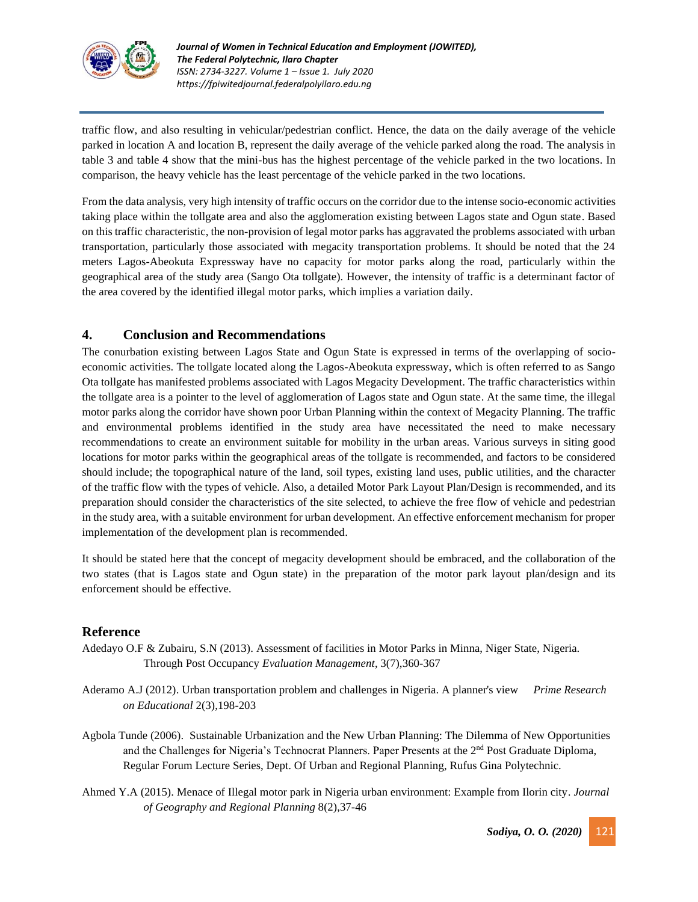

traffic flow, and also resulting in vehicular/pedestrian conflict. Hence, the data on the daily average of the vehicle parked in location A and location B, represent the daily average of the vehicle parked along the road. The analysis in table 3 and table 4 show that the mini-bus has the highest percentage of the vehicle parked in the two locations. In comparison, the heavy vehicle has the least percentage of the vehicle parked in the two locations.

From the data analysis, very high intensity of traffic occurs on the corridor due to the intense socio-economic activities taking place within the tollgate area and also the agglomeration existing between Lagos state and Ogun state. Based on this traffic characteristic, the non-provision of legal motor parks has aggravated the problems associated with urban transportation, particularly those associated with megacity transportation problems. It should be noted that the 24 meters Lagos-Abeokuta Expressway have no capacity for motor parks along the road, particularly within the geographical area of the study area (Sango Ota tollgate). However, the intensity of traffic is a determinant factor of the area covered by the identified illegal motor parks, which implies a variation daily.

# **4. Conclusion and Recommendations**

The conurbation existing between Lagos State and Ogun State is expressed in terms of the overlapping of socioeconomic activities. The tollgate located along the Lagos-Abeokuta expressway, which is often referred to as Sango Ota tollgate has manifested problems associated with Lagos Megacity Development. The traffic characteristics within the tollgate area is a pointer to the level of agglomeration of Lagos state and Ogun state. At the same time, the illegal motor parks along the corridor have shown poor Urban Planning within the context of Megacity Planning. The traffic and environmental problems identified in the study area have necessitated the need to make necessary recommendations to create an environment suitable for mobility in the urban areas. Various surveys in siting good locations for motor parks within the geographical areas of the tollgate is recommended, and factors to be considered should include; the topographical nature of the land, soil types, existing land uses, public utilities, and the character of the traffic flow with the types of vehicle. Also, a detailed Motor Park Layout Plan/Design is recommended, and its preparation should consider the characteristics of the site selected, to achieve the free flow of vehicle and pedestrian in the study area, with a suitable environment for urban development. An effective enforcement mechanism for proper implementation of the development plan is recommended.

It should be stated here that the concept of megacity development should be embraced, and the collaboration of the two states (that is Lagos state and Ogun state) in the preparation of the motor park layout plan/design and its enforcement should be effective.

# **Reference**

- Adedayo O.F & Zubairu, S.N (2013). Assessment of facilities in Motor Parks in Minna, Niger State, Nigeria. Through Post Occupancy *Evaluation Management*, 3(7),360-367
- Aderamo A.J (2012). Urban transportation problem and challenges in Nigeria. A planner's view *Prime Research on Educational* 2(3),198-203
- Agbola Tunde (2006). Sustainable Urbanization and the New Urban Planning: The Dilemma of New Opportunities and the Challenges for Nigeria's Technocrat Planners. Paper Presents at the  $2<sup>nd</sup>$  Post Graduate Diploma, Regular Forum Lecture Series, Dept. Of Urban and Regional Planning, Rufus Gina Polytechnic.
- Ahmed Y.A (2015). Menace of Illegal motor park in Nigeria urban environment: Example from Ilorin city*. Journal of Geography and Regional Planning* 8(2),37-46